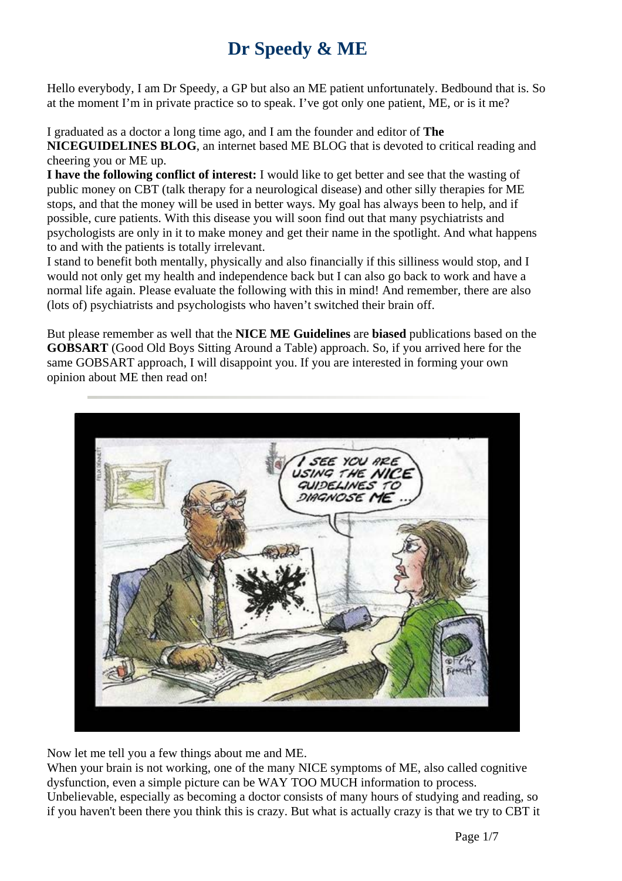## **Dr Speedy & ME**

Hello everybody, I am Dr Speedy, a GP but also an ME patient unfortunately. Bedbound that is. So at the moment I'm in private practice so to speak. I've got only one patient, ME, or is it me?

I graduated as a doctor a long time ago, and I am the founder and editor of **The NICEGUIDELINES BLOG**, an internet based ME BLOG that is devoted to critical reading and cheering you or ME up.

**I have the following conflict of interest:** I would like to get better and see that the wasting of public money on CBT (talk therapy for a neurological disease) and other silly therapies for ME stops, and that the money will be used in better ways. My goal has always been to help, and if possible, cure patients. With this disease you will soon find out that many psychiatrists and psychologists are only in it to make money and get their name in the spotlight. And what happens to and with the patients is totally irrelevant.

I stand to benefit both mentally, physically and also financially if this silliness would stop, and I would not only get my health and independence back but I can also go back to work and have a normal life again. Please evaluate the following with this in mind! And remember, there are also (lots of) psychiatrists and psychologists who haven't switched their brain off.

But please remember as well that the **NICE ME Guidelines** are **biased** publications based on the **GOBSART** (Good Old Boys Sitting Around a Table) approach. So, if you arrived here for the same GOBSART approach, I will disappoint you. If you are interested in forming your own opinion about ME then read on!



Now let me tell you a few things about me and ME.

When your brain is not working, one of the many NICE symptoms of ME, also called cognitive dysfunction, even a simple picture can be WAY TOO MUCH information to process. Unbelievable, especially as becoming a doctor consists of many hours of studying and reading, so if you haven't been there you think this is crazy. But what is actually crazy is that we try to CBT it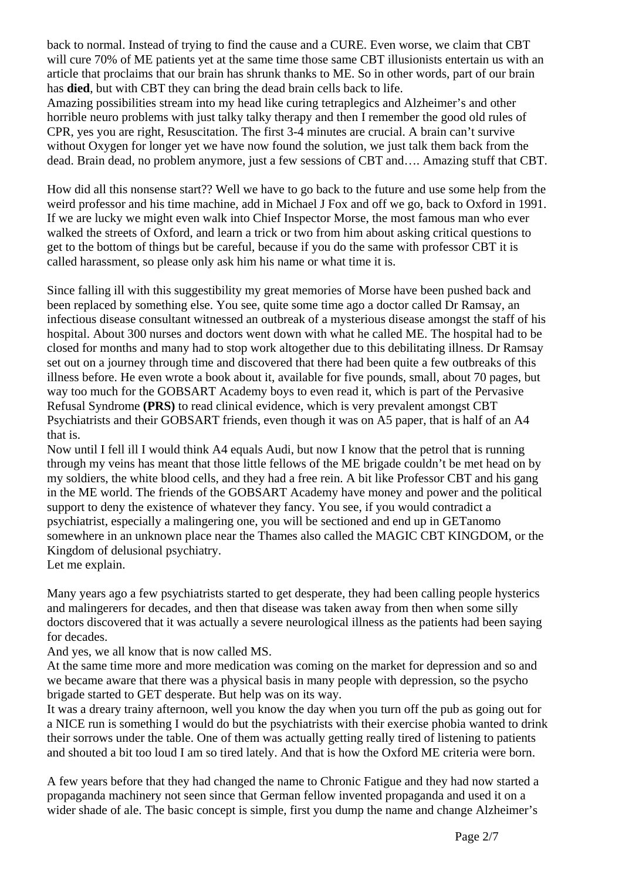back to normal. Instead of trying to find the cause and a CURE. Even worse, we claim that CBT will cure 70% of ME patients yet at the same time those same CBT illusionists entertain us with an article that proclaims that our brain has shrunk thanks to ME. So in other words, part of our brain has **died**, but with CBT they can bring the dead brain cells back to life.

Amazing possibilities stream into my head like curing tetraplegics and Alzheimer's and other horrible neuro problems with just talky talky therapy and then I remember the good old rules of CPR, yes you are right, Resuscitation. The first 3-4 minutes are crucial. A brain can't survive without Oxygen for longer yet we have now found the solution, we just talk them back from the dead. Brain dead, no problem anymore, just a few sessions of CBT and…. Amazing stuff that CBT.

How did all this nonsense start?? Well we have to go back to the future and use some help from the weird professor and his time machine, add in Michael J Fox and off we go, back to Oxford in 1991. If we are lucky we might even walk into Chief Inspector Morse, the most famous man who ever walked the streets of Oxford, and learn a trick or two from him about asking critical questions to get to the bottom of things but be careful, because if you do the same with professor CBT it is called harassment, so please only ask him his name or what time it is.

Since falling ill with this suggestibility my great memories of Morse have been pushed back and been replaced by something else. You see, quite some time ago a doctor called Dr Ramsay, an infectious disease consultant witnessed an outbreak of a mysterious disease amongst the staff of his hospital. About 300 nurses and doctors went down with what he called ME. The hospital had to be closed for months and many had to stop work altogether due to this debilitating illness. Dr Ramsay set out on a journey through time and discovered that there had been quite a few outbreaks of this illness before. He even wrote a book about it, available for five pounds, small, about 70 pages, but way too much for the GOBSART Academy boys to even read it, which is part of the Pervasive Refusal Syndrome **(PRS)** to read clinical evidence, which is very prevalent amongst CBT Psychiatrists and their GOBSART friends, even though it was on A5 paper, that is half of an A4 that is.

Now until I fell ill I would think A4 equals Audi, but now I know that the petrol that is running through my veins has meant that those little fellows of the ME brigade couldn't be met head on by my soldiers, the white blood cells, and they had a free rein. A bit like Professor CBT and his gang in the ME world. The friends of the GOBSART Academy have money and power and the political support to deny the existence of whatever they fancy. You see, if you would contradict a psychiatrist, especially a malingering one, you will be sectioned and end up in GETanomo somewhere in an unknown place near the Thames also called the MAGIC CBT KINGDOM, or the Kingdom of delusional psychiatry.

Let me explain.

Many years ago a few psychiatrists started to get desperate, they had been calling people hysterics and malingerers for decades, and then that disease was taken away from then when some silly doctors discovered that it was actually a severe neurological illness as the patients had been saying for decades.

And yes, we all know that is now called MS.

At the same time more and more medication was coming on the market for depression and so and we became aware that there was a physical basis in many people with depression, so the psycho brigade started to GET desperate. But help was on its way.

It was a dreary trainy afternoon, well you know the day when you turn off the pub as going out for a NICE run is something I would do but the psychiatrists with their exercise phobia wanted to drink their sorrows under the table. One of them was actually getting really tired of listening to patients and shouted a bit too loud I am so tired lately. And that is how the Oxford ME criteria were born.

A few years before that they had changed the name to Chronic Fatigue and they had now started a propaganda machinery not seen since that German fellow invented propaganda and used it on a wider shade of ale. The basic concept is simple, first you dump the name and change Alzheimer's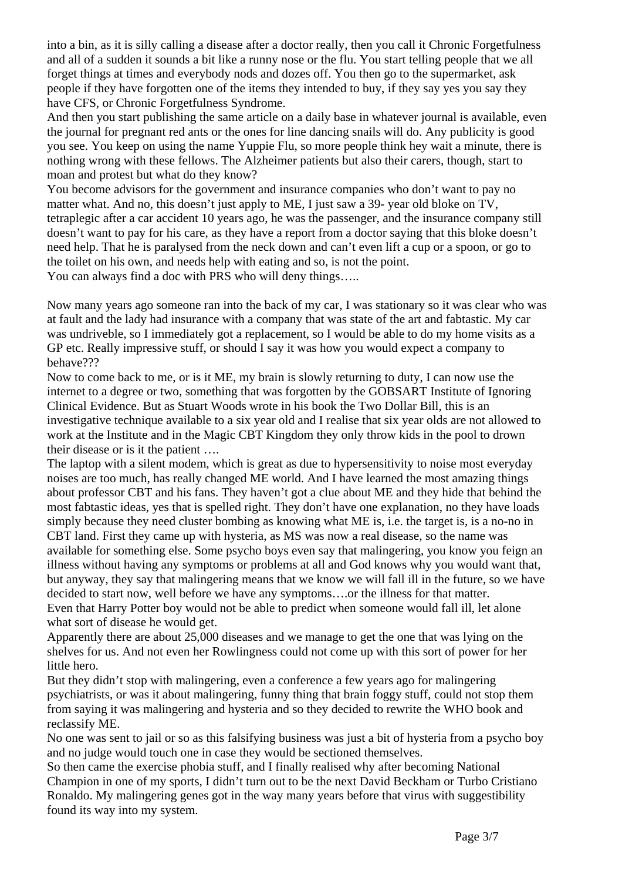into a bin, as it is silly calling a disease after a doctor really, then you call it Chronic Forgetfulness and all of a sudden it sounds a bit like a runny nose or the flu. You start telling people that we all forget things at times and everybody nods and dozes off. You then go to the supermarket, ask people if they have forgotten one of the items they intended to buy, if they say yes you say they have CFS, or Chronic Forgetfulness Syndrome.

And then you start publishing the same article on a daily base in whatever journal is available, even the journal for pregnant red ants or the ones for line dancing snails will do. Any publicity is good you see. You keep on using the name Yuppie Flu, so more people think hey wait a minute, there is nothing wrong with these fellows. The Alzheimer patients but also their carers, though, start to moan and protest but what do they know?

You become advisors for the government and insurance companies who don't want to pay no matter what. And no, this doesn't just apply to ME, I just saw a 39- year old bloke on TV, tetraplegic after a car accident 10 years ago, he was the passenger, and the insurance company still doesn't want to pay for his care, as they have a report from a doctor saying that this bloke doesn't need help. That he is paralysed from the neck down and can't even lift a cup or a spoon, or go to the toilet on his own, and needs help with eating and so, is not the point.

You can always find a doc with PRS who will deny things.....

Now many years ago someone ran into the back of my car, I was stationary so it was clear who was at fault and the lady had insurance with a company that was state of the art and fabtastic. My car was undriveble, so I immediately got a replacement, so I would be able to do my home visits as a GP etc. Really impressive stuff, or should I say it was how you would expect a company to behave???

Now to come back to me, or is it ME, my brain is slowly returning to duty, I can now use the internet to a degree or two, something that was forgotten by the GOBSART Institute of Ignoring Clinical Evidence. But as Stuart Woods wrote in his book the Two Dollar Bill, this is an investigative technique available to a six year old and I realise that six year olds are not allowed to work at the Institute and in the Magic CBT Kingdom they only throw kids in the pool to drown their disease or is it the patient ….

The laptop with a silent modem, which is great as due to hypersensitivity to noise most everyday noises are too much, has really changed ME world. And I have learned the most amazing things about professor CBT and his fans. They haven't got a clue about ME and they hide that behind the most fabtastic ideas, yes that is spelled right. They don't have one explanation, no they have loads simply because they need cluster bombing as knowing what ME is, i.e. the target is, is a no-no in CBT land. First they came up with hysteria, as MS was now a real disease, so the name was available for something else. Some psycho boys even say that malingering, you know you feign an illness without having any symptoms or problems at all and God knows why you would want that, but anyway, they say that malingering means that we know we will fall ill in the future, so we have decided to start now, well before we have any symptoms….or the illness for that matter. Even that Harry Potter boy would not be able to predict when someone would fall ill, let alone what sort of disease he would get.

Apparently there are about 25,000 diseases and we manage to get the one that was lying on the shelves for us. And not even her Rowlingness could not come up with this sort of power for her little hero.

But they didn't stop with malingering, even a conference a few years ago for malingering psychiatrists, or was it about malingering, funny thing that brain foggy stuff, could not stop them from saying it was malingering and hysteria and so they decided to rewrite the WHO book and reclassify ME.

No one was sent to jail or so as this falsifying business was just a bit of hysteria from a psycho boy and no judge would touch one in case they would be sectioned themselves.

So then came the exercise phobia stuff, and I finally realised why after becoming National Champion in one of my sports, I didn't turn out to be the next David Beckham or Turbo Cristiano Ronaldo. My malingering genes got in the way many years before that virus with suggestibility found its way into my system.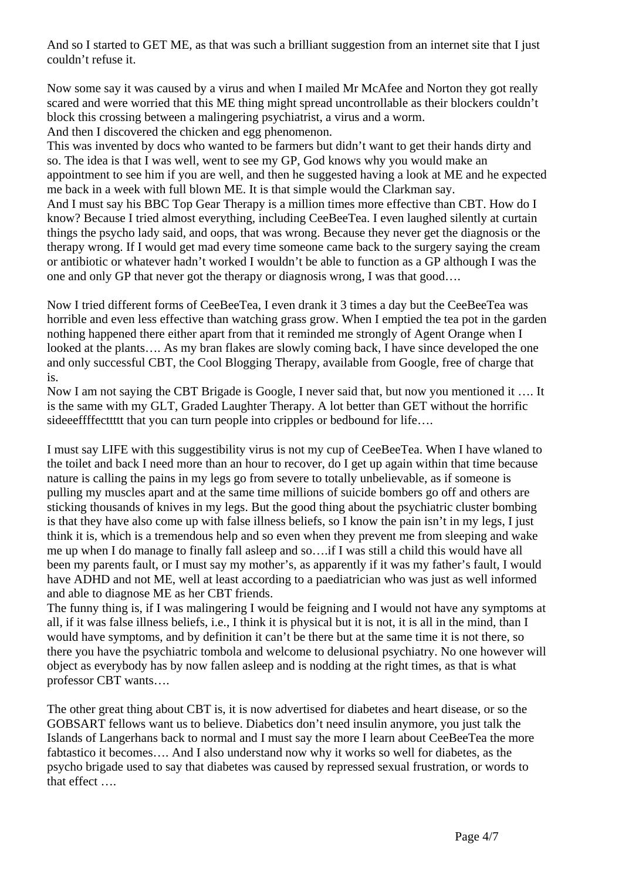And so I started to GET ME, as that was such a brilliant suggestion from an internet site that I just couldn't refuse it.

Now some say it was caused by a virus and when I mailed Mr McAfee and Norton they got really scared and were worried that this ME thing might spread uncontrollable as their blockers couldn't block this crossing between a malingering psychiatrist, a virus and a worm.

And then I discovered the chicken and egg phenomenon.

This was invented by docs who wanted to be farmers but didn't want to get their hands dirty and so. The idea is that I was well, went to see my GP, God knows why you would make an appointment to see him if you are well, and then he suggested having a look at ME and he expected me back in a week with full blown ME. It is that simple would the Clarkman say.

And I must say his BBC Top Gear Therapy is a million times more effective than CBT. How do I know? Because I tried almost everything, including CeeBeeTea. I even laughed silently at curtain things the psycho lady said, and oops, that was wrong. Because they never get the diagnosis or the therapy wrong. If I would get mad every time someone came back to the surgery saying the cream or antibiotic or whatever hadn't worked I wouldn't be able to function as a GP although I was the one and only GP that never got the therapy or diagnosis wrong, I was that good….

Now I tried different forms of CeeBeeTea, I even drank it 3 times a day but the CeeBeeTea was horrible and even less effective than watching grass grow. When I emptied the tea pot in the garden nothing happened there either apart from that it reminded me strongly of Agent Orange when I looked at the plants…. As my bran flakes are slowly coming back, I have since developed the one and only successful CBT, the Cool Blogging Therapy, available from Google, free of charge that is.

Now I am not saying the CBT Brigade is Google, I never said that, but now you mentioned it …. It is the same with my GLT, Graded Laughter Therapy. A lot better than GET without the horrific sideeeffffecttttt that you can turn people into cripples or bedbound for life....

I must say LIFE with this suggestibility virus is not my cup of CeeBeeTea. When I have wlaned to the toilet and back I need more than an hour to recover, do I get up again within that time because nature is calling the pains in my legs go from severe to totally unbelievable, as if someone is pulling my muscles apart and at the same time millions of suicide bombers go off and others are sticking thousands of knives in my legs. But the good thing about the psychiatric cluster bombing is that they have also come up with false illness beliefs, so I know the pain isn't in my legs, I just think it is, which is a tremendous help and so even when they prevent me from sleeping and wake me up when I do manage to finally fall asleep and so….if I was still a child this would have all been my parents fault, or I must say my mother's, as apparently if it was my father's fault, I would have ADHD and not ME, well at least according to a paediatrician who was just as well informed and able to diagnose ME as her CBT friends.

The funny thing is, if I was malingering I would be feigning and I would not have any symptoms at all, if it was false illness beliefs, i.e., I think it is physical but it is not, it is all in the mind, than I would have symptoms, and by definition it can't be there but at the same time it is not there, so there you have the psychiatric tombola and welcome to delusional psychiatry. No one however will object as everybody has by now fallen asleep and is nodding at the right times, as that is what professor CBT wants….

The other great thing about CBT is, it is now advertised for diabetes and heart disease, or so the GOBSART fellows want us to believe. Diabetics don't need insulin anymore, you just talk the Islands of Langerhans back to normal and I must say the more I learn about CeeBeeTea the more fabtastico it becomes…. And I also understand now why it works so well for diabetes, as the psycho brigade used to say that diabetes was caused by repressed sexual frustration, or words to that effect ….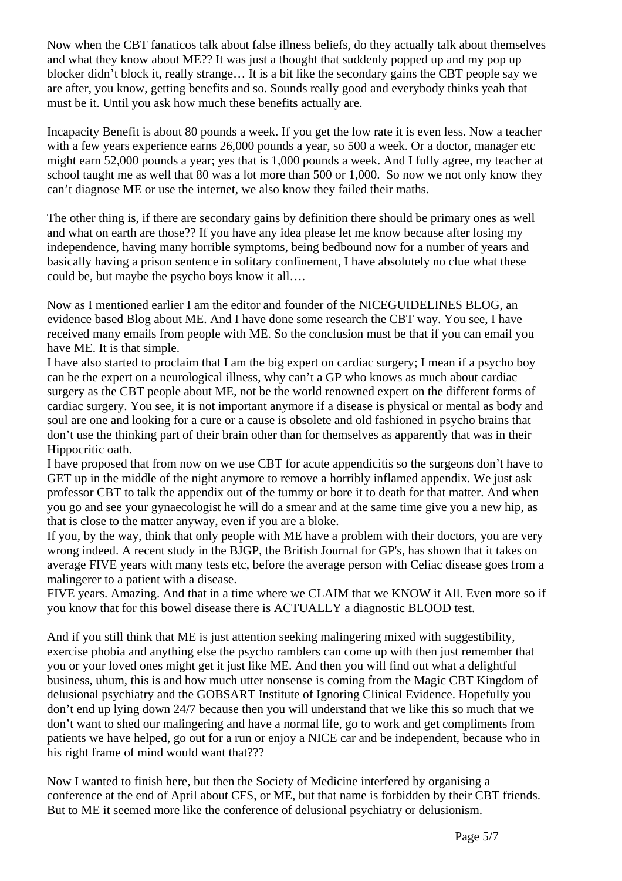Now when the CBT fanaticos talk about false illness beliefs, do they actually talk about themselves and what they know about ME?? It was just a thought that suddenly popped up and my pop up blocker didn't block it, really strange… It is a bit like the secondary gains the CBT people say we are after, you know, getting benefits and so. Sounds really good and everybody thinks yeah that must be it. Until you ask how much these benefits actually are.

Incapacity Benefit is about 80 pounds a week. If you get the low rate it is even less. Now a teacher with a few years experience earns 26,000 pounds a year, so 500 a week. Or a doctor, manager etc might earn 52,000 pounds a year; yes that is 1,000 pounds a week. And I fully agree, my teacher at school taught me as well that 80 was a lot more than 500 or 1,000. So now we not only know they can't diagnose ME or use the internet, we also know they failed their maths.

The other thing is, if there are secondary gains by definition there should be primary ones as well and what on earth are those?? If you have any idea please let me know because after losing my independence, having many horrible symptoms, being bedbound now for a number of years and basically having a prison sentence in solitary confinement, I have absolutely no clue what these could be, but maybe the psycho boys know it all….

Now as I mentioned earlier I am the editor and founder of the NICEGUIDELINES BLOG, an evidence based Blog about ME. And I have done some research the CBT way. You see, I have received many emails from people with ME. So the conclusion must be that if you can email you have ME. It is that simple.

I have also started to proclaim that I am the big expert on cardiac surgery; I mean if a psycho boy can be the expert on a neurological illness, why can't a GP who knows as much about cardiac surgery as the CBT people about ME, not be the world renowned expert on the different forms of cardiac surgery. You see, it is not important anymore if a disease is physical or mental as body and soul are one and looking for a cure or a cause is obsolete and old fashioned in psycho brains that don't use the thinking part of their brain other than for themselves as apparently that was in their Hippocritic oath.

I have proposed that from now on we use CBT for acute appendicitis so the surgeons don't have to GET up in the middle of the night anymore to remove a horribly inflamed appendix. We just ask professor CBT to talk the appendix out of the tummy or bore it to death for that matter. And when you go and see your gynaecologist he will do a smear and at the same time give you a new hip, as that is close to the matter anyway, even if you are a bloke.

If you, by the way, think that only people with ME have a problem with their doctors, you are very wrong indeed. A recent study in the BJGP, the British Journal for GP's, has shown that it takes on average FIVE years with many tests etc, before the average person with Celiac disease goes from a malingerer to a patient with a disease.

FIVE years. Amazing. And that in a time where we CLAIM that we KNOW it All. Even more so if you know that for this bowel disease there is ACTUALLY a diagnostic BLOOD test.

And if you still think that ME is just attention seeking malingering mixed with suggestibility, exercise phobia and anything else the psycho ramblers can come up with then just remember that you or your loved ones might get it just like ME. And then you will find out what a delightful business, uhum, this is and how much utter nonsense is coming from the Magic CBT Kingdom of delusional psychiatry and the GOBSART Institute of Ignoring Clinical Evidence. Hopefully you don't end up lying down 24/7 because then you will understand that we like this so much that we don't want to shed our malingering and have a normal life, go to work and get compliments from patients we have helped, go out for a run or enjoy a NICE car and be independent, because who in his right frame of mind would want that???

Now I wanted to finish here, but then the Society of Medicine interfered by organising a conference at the end of April about CFS, or ME, but that name is forbidden by their CBT friends. But to ME it seemed more like the conference of delusional psychiatry or delusionism.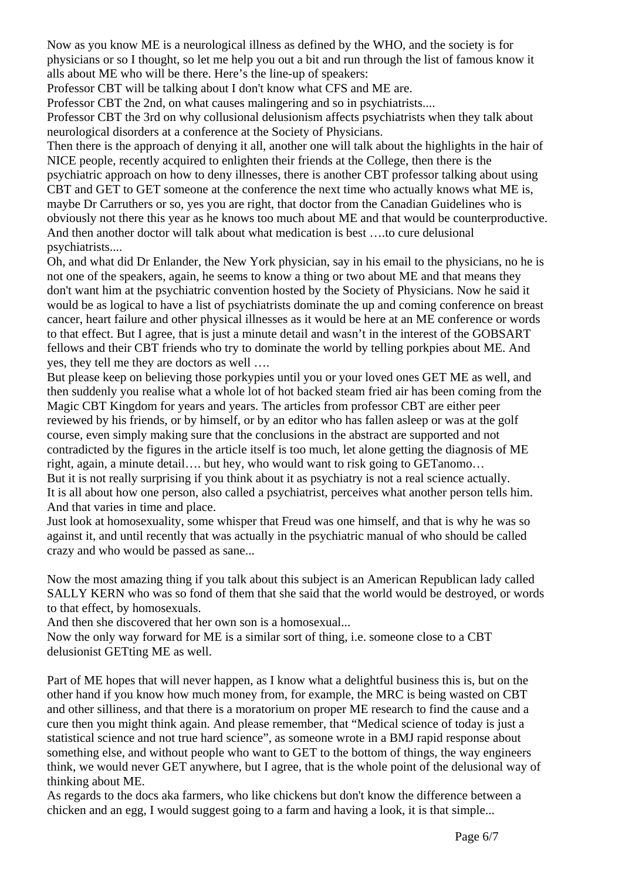Now as you know ME is a neurological illness as defined by the WHO, and the society is for physicians or so I thought, so let me help you out a bit and run through the list of famous know it alls about ME who will be there. Here's the line-up of speakers:

Professor CBT will be talking about I don't know what CFS and ME are.

Professor CBT the 2nd, on what causes malingering and so in psychiatrists....

Professor CBT the 3rd on why collusional delusionism affects psychiatrists when they talk about neurological disorders at a conference at the Society of Physicians.

Then there is the approach of denying it all, another one will talk about the highlights in the hair of NICE people, recently acquired to enlighten their friends at the College, then there is the psychiatric approach on how to deny illnesses, there is another CBT professor talking about using CBT and GET to GET someone at the conference the next time who actually knows what ME is, maybe Dr Carruthers or so, yes you are right, that doctor from the Canadian Guidelines who is obviously not there this year as he knows too much about ME and that would be counterproductive. And then another doctor will talk about what medication is best ….to cure delusional psychiatrists....

Oh, and what did Dr Enlander, the New York physician, say in his email to the physicians, no he is not one of the speakers, again, he seems to know a thing or two about ME and that means they don't want him at the psychiatric convention hosted by the Society of Physicians. Now he said it would be as logical to have a list of psychiatrists dominate the up and coming conference on breast cancer, heart failure and other physical illnesses as it would be here at an ME conference or words to that effect. But I agree, that is just a minute detail and wasn't in the interest of the GOBSART fellows and their CBT friends who try to dominate the world by telling porkpies about ME. And yes, they tell me they are doctors as well ….

But please keep on believing those porkypies until you or your loved ones GET ME as well, and then suddenly you realise what a whole lot of hot backed steam fried air has been coming from the Magic CBT Kingdom for years and years. The articles from professor CBT are either peer reviewed by his friends, or by himself, or by an editor who has fallen asleep or was at the golf course, even simply making sure that the conclusions in the abstract are supported and not contradicted by the figures in the article itself is too much, let alone getting the diagnosis of ME right, again, a minute detail…. but hey, who would want to risk going to GETanomo… But it is not really surprising if you think about it as psychiatry is not a real science actually. It is all about how one person, also called a psychiatrist, perceives what another person tells him. And that varies in time and place.

Just look at homosexuality, some whisper that Freud was one himself, and that is why he was so against it, and until recently that was actually in the psychiatric manual of who should be called crazy and who would be passed as sane...

Now the most amazing thing if you talk about this subject is an American Republican lady called SALLY KERN who was so fond of them that she said that the world would be destroyed, or words to that effect, by homosexuals.

And then she discovered that her own son is a homosexual...

Now the only way forward for ME is a similar sort of thing, i.e. someone close to a CBT delusionist GETting ME as well.

Part of ME hopes that will never happen, as I know what a delightful business this is, but on the other hand if you know how much money from, for example, the MRC is being wasted on CBT and other silliness, and that there is a moratorium on proper ME research to find the cause and a cure then you might think again. And please remember, that "Medical science of today is just a statistical science and not true hard science", as someone wrote in a BMJ rapid response about something else, and without people who want to GET to the bottom of things, the way engineers think, we would never GET anywhere, but I agree, that is the whole point of the delusional way of thinking about ME.

As regards to the docs aka farmers, who like chickens but don't know the difference between a chicken and an egg, I would suggest going to a farm and having a look, it is that simple...